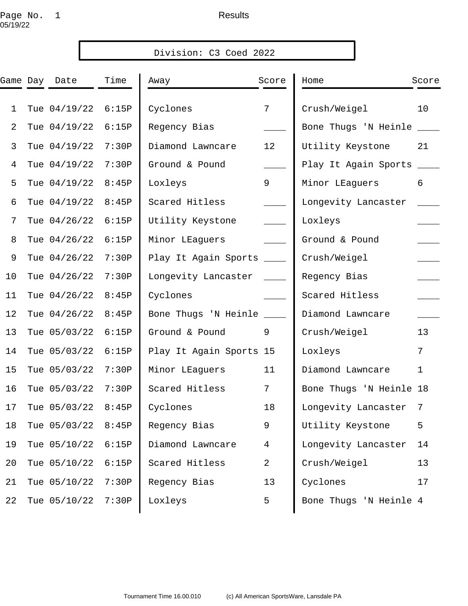# Page No. 1 and the set of the Results 05/19/22

|              |              |       | Division: C3 Coed 2022   |                 |                         |             |
|--------------|--------------|-------|--------------------------|-----------------|-------------------------|-------------|
| Game Day     | Date         | Time  | Away                     | Score           | Home                    | Score       |
| $\mathbf{1}$ | Tue 04/19/22 | 6:15P | Cyclones                 | $7\overline{ }$ | Crush/Weigel            | 10          |
| 2            | Tue 04/19/22 | 6:15P | Regency Bias             |                 | Bone Thugs 'N Heinle    |             |
| 3            | Tue 04/19/22 | 7:30P | Diamond Lawncare         | 12              | Utility Keystone        | 21          |
| 4            | Tue 04/19/22 | 7:30P | Ground & Pound           |                 | Play It Again Sports    |             |
| 5            | Tue 04/19/22 | 8:45P | Loxleys                  | 9               | Minor LEaguers          | 6           |
| 6            | Tue 04/19/22 | 8:45P | Scared Hitless           |                 | Longevity Lancaster     |             |
| 7            | Tue 04/26/22 | 6:15P | Utility Keystone         |                 | Loxleys                 |             |
| 8            | Tue 04/26/22 | 6:15P | Minor LEaguers           |                 | Ground & Pound          |             |
| 9            | Tue 04/26/22 | 7:30P | Play It Again Sports     |                 | Crush/Weigel            |             |
| 10           | Tue 04/26/22 | 7:30P | Longevity Lancaster      |                 | Regency Bias            |             |
| 11           | Tue 04/26/22 | 8:45P | Cyclones                 |                 | Scared Hitless          |             |
| 12           | Tue 04/26/22 | 8:45P | Bone Thugs 'N Heinle ___ |                 | Diamond Lawncare        |             |
| 13           | Tue 05/03/22 | 6:15P | Ground & Pound           | 9               | Crush/Weigel            | 13          |
| 14           | Tue 05/03/22 | 6:15P | Play It Again Sports 15  |                 | Loxleys                 | 7           |
| 15           | Tue 05/03/22 | 7:30P | Minor LEaguers           | 11              | Diamond Lawncare        | $\mathbf 1$ |
| 16           | Tue 05/03/22 | 7:30P | Scared Hitless           | 7               | Bone Thugs 'N Heinle 18 |             |
| 17           | Tue 05/03/22 | 8:45P | Cyclones                 | 18              | Longevity Lancaster     | 7           |
| 18           | Tue 05/03/22 | 8:45P | Regency Bias             | 9               | Utility Keystone        | 5           |
| 19           | Tue 05/10/22 | 6:15P | Diamond Lawncare         | $\overline{4}$  | Longevity Lancaster     | 14          |
| 20           | Tue 05/10/22 | 6:15P | Scared Hitless           | 2               | Crush/Weigel            | 13          |
| 21           | Tue 05/10/22 | 7:30P | Regency Bias             | 13              | Cyclones                | 17          |
| 22           | Tue 05/10/22 | 7:30P | Loxleys                  | 5               | Bone Thugs 'N Heinle 4  |             |
|              |              |       |                          |                 |                         |             |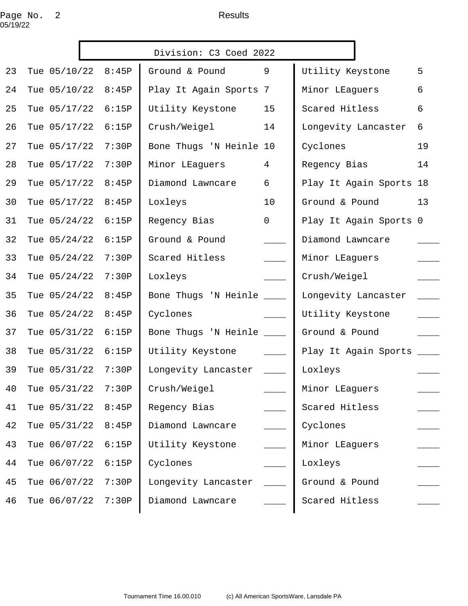# Page No. 2 and 2 Results 05/19/22

|    |              |       | Division: C3 Coed 2022    |                |                           |    |
|----|--------------|-------|---------------------------|----------------|---------------------------|----|
| 23 | Tue 05/10/22 | 8:45P | Ground & Pound            | 9              | Utility Keystone          | 5  |
| 24 | Tue 05/10/22 | 8:45P | Play It Again Sports 7    |                | Minor LEaguers            | 6  |
| 25 | Tue 05/17/22 | 6:15P | Utility Keystone          | 15             | Scared Hitless            | 6  |
| 26 | Tue 05/17/22 | 6:15P | Crush/Weigel              | 14             | Longevity Lancaster       | 6  |
| 27 | Tue 05/17/22 | 7:30P | Bone Thugs 'N Heinle 10   |                | Cyclones                  | 19 |
| 28 | Tue 05/17/22 | 7:30P | Minor LEaguers            | $\overline{4}$ | Regency Bias              | 14 |
| 29 | Tue 05/17/22 | 8:45P | Diamond Lawncare          | 6              | Play It Again Sports 18   |    |
| 30 | Tue 05/17/22 | 8:45P | Loxleys                   | 10             | Ground & Pound            | 13 |
| 31 | Tue 05/24/22 | 6:15P | Regency Bias              | $\mathsf{O}$   | Play It Again Sports 0    |    |
| 32 | Tue 05/24/22 | 6:15P | Ground & Pound            |                | Diamond Lawncare          |    |
| 33 | Tue 05/24/22 | 7:30P | Scared Hitless            |                | Minor LEaguers            |    |
| 34 | Tue 05/24/22 | 7:30P | Loxleys                   |                | Crush/Weigel              |    |
| 35 | Tue 05/24/22 | 8:45P | Bone Thugs 'N Heinle ____ |                | Longevity Lancaster       |    |
| 36 | Tue 05/24/22 | 8:45P | Cyclones                  |                | Utility Keystone          |    |
| 37 | Tue 05/31/22 | 6:15P | Bone Thugs 'N Heinle ____ |                | Ground & Pound            |    |
| 38 | Tue 05/31/22 | 6:15P | Utility Keystone          |                | Play It Again Sports ____ |    |
| 39 | Tue 05/31/22 | 7:30P | Longevity Lancaster       |                | Loxleys                   |    |
| 40 | Tue 05/31/22 | 7:30P | Crush/Weigel              |                | Minor LEaguers            |    |
| 41 | Tue 05/31/22 | 8:45P | Regency Bias              |                | Scared Hitless            |    |
| 42 | Tue 05/31/22 | 8:45P | Diamond Lawncare          |                | Cyclones                  |    |
| 43 | Tue 06/07/22 | 6:15P | Utility Keystone          |                | Minor LEaguers            |    |
| 44 | Tue 06/07/22 | 6:15P | Cyclones                  |                | Loxleys                   |    |
| 45 | Tue 06/07/22 | 7:30P | Longevity Lancaster       |                | Ground & Pound            |    |
| 46 | Tue 06/07/22 | 7:30P | Diamond Lawncare          |                | Scared Hitless            |    |
|    |              |       |                           |                |                           |    |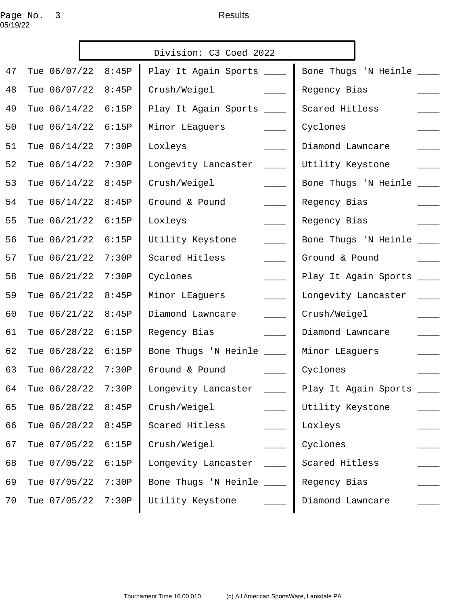## Page No. 3 and the set of the Results 05/19/22

|    |                       |       | Division: C3 Coed 2022                            |                           |
|----|-----------------------|-------|---------------------------------------------------|---------------------------|
| 47 | Tue 06/07/22 8:45P    |       | Play It Again Sports ____                         | Bone Thugs 'N Heinle ___  |
| 48 | Tue 06/07/22          | 8:45P | Crush/Weigel                                      | Regency Bias              |
| 49 | Tue 06/14/22          | 6:15P | Play It Again Sports ____                         | Scared Hitless            |
| 50 | Tue 06/14/22          | 6:15P | Minor LEaguers<br>$\sim 10^{11}$                  | Cyclones                  |
| 51 | Tue 06/14/22          | 7:30P | Loxleys                                           | Diamond Lawncare          |
| 52 | Tue 06/14/22          | 7:30P | Longevity Lancaster<br>$\mathcal{L}^{\text{max}}$ | Utility Keystone          |
| 53 | Tue 06/14/22          | 8:45P | Crush/Weigel                                      | Bone Thugs 'N Heinle      |
| 54 | Tue 06/14/22          | 8:45P | Ground & Pound<br>$\mathcal{L}^{\text{max}}$      | Regency Bias              |
| 55 | Tue 06/21/22          | 6:15P | Loxleys<br>$\sim$ 100 $\mu$                       | Regency Bias              |
| 56 | Tue 06/21/22          | 6:15P | Utility Keystone<br>$\overline{\phantom{a}}$      | Bone Thugs 'N Heinle ___  |
| 57 | Tue 06/21/22          | 7:30P | Scared Hitless<br>$\frac{1}{1}$                   | Ground & Pound            |
| 58 | Tue 06/21/22          | 7:30P | Cyclones<br>$\overline{\phantom{a}}$              | Play It Again Sports ____ |
| 59 | Tue 06/21/22          | 8:45P | Minor LEaguers<br>$\mathcal{L}^{\text{max}}$      | Longevity Lancaster       |
| 60 | Tue 06/21/22          | 8:45P | Diamond Lawncare<br>$\frac{1}{2}$                 | Crush/Weigel              |
| 61 | Tue 06/28/22          | 6:15P | Regency Bias                                      | Diamond Lawncare          |
| 62 | Tue 06/28/22          | 6:15P | Bone Thugs 'N Heinle ___                          | Minor LEaguers            |
| 63 | Tue 06/28/22          | 7:30P | Ground & Pound                                    | Cyclones                  |
|    | 64 Tue 06/28/22 7:30P |       | Longevity Lancaster _                             | Play It Again Sports      |
| 65 | Tue 06/28/22          | 8:45P | Crush/Weigel                                      | Utility Keystone          |
| 66 | Tue 06/28/22          | 8:45P | Scared Hitless                                    | Loxleys                   |
| 67 | Tue 07/05/22          | 6:15P | Crush/Weigel                                      | Cyclones                  |
| 68 | Tue 07/05/22          | 6:15P | Longevity Lancaster                               | Scared Hitless            |
| 69 | Tue 07/05/22          | 7:30P | Bone Thugs 'N Heinle ____                         | Regency Bias              |
| 70 | Tue 07/05/22          | 7:30P | Utility Keystone                                  | Diamond Lawncare          |
|    |                       |       |                                                   |                           |